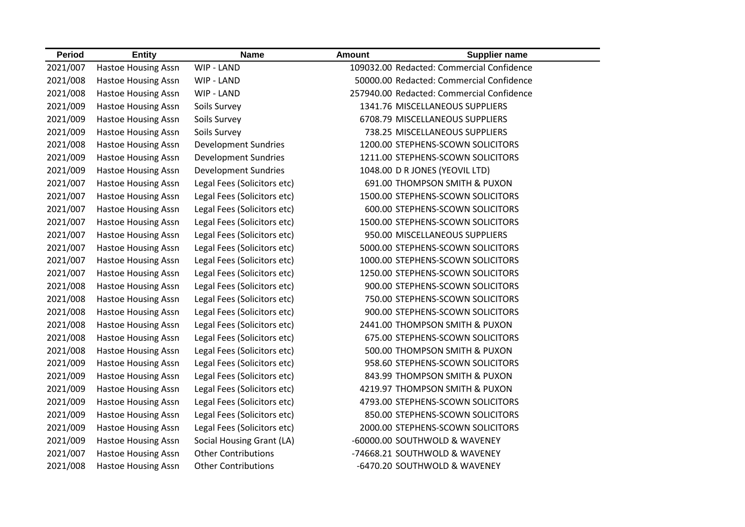| <b>Period</b> | <b>Entity</b>              | <b>Name</b>                 | <b>Amount</b> | <b>Supplier name</b>                      |
|---------------|----------------------------|-----------------------------|---------------|-------------------------------------------|
| 2021/007      | <b>Hastoe Housing Assn</b> | WIP - LAND                  |               | 109032.00 Redacted: Commercial Confidence |
| 2021/008      | <b>Hastoe Housing Assn</b> | WIP - LAND                  |               | 50000.00 Redacted: Commercial Confidence  |
| 2021/008      | <b>Hastoe Housing Assn</b> | WIP - LAND                  |               | 257940.00 Redacted: Commercial Confidence |
| 2021/009      | <b>Hastoe Housing Assn</b> | Soils Survey                |               | 1341.76 MISCELLANEOUS SUPPLIERS           |
| 2021/009      | <b>Hastoe Housing Assn</b> | Soils Survey                |               | 6708.79 MISCELLANEOUS SUPPLIERS           |
| 2021/009      | <b>Hastoe Housing Assn</b> | Soils Survey                |               | 738.25 MISCELLANEOUS SUPPLIERS            |
| 2021/008      | <b>Hastoe Housing Assn</b> | <b>Development Sundries</b> |               | 1200.00 STEPHENS-SCOWN SOLICITORS         |
| 2021/009      | <b>Hastoe Housing Assn</b> | <b>Development Sundries</b> |               | 1211.00 STEPHENS-SCOWN SOLICITORS         |
| 2021/009      | <b>Hastoe Housing Assn</b> | <b>Development Sundries</b> |               | 1048.00 D R JONES (YEOVIL LTD)            |
| 2021/007      | <b>Hastoe Housing Assn</b> | Legal Fees (Solicitors etc) |               | 691.00 THOMPSON SMITH & PUXON             |
| 2021/007      | <b>Hastoe Housing Assn</b> | Legal Fees (Solicitors etc) |               | 1500.00 STEPHENS-SCOWN SOLICITORS         |
| 2021/007      | <b>Hastoe Housing Assn</b> | Legal Fees (Solicitors etc) |               | 600.00 STEPHENS-SCOWN SOLICITORS          |
| 2021/007      | <b>Hastoe Housing Assn</b> | Legal Fees (Solicitors etc) |               | 1500.00 STEPHENS-SCOWN SOLICITORS         |
| 2021/007      | <b>Hastoe Housing Assn</b> | Legal Fees (Solicitors etc) |               | 950.00 MISCELLANEOUS SUPPLIERS            |
| 2021/007      | <b>Hastoe Housing Assn</b> | Legal Fees (Solicitors etc) |               | 5000.00 STEPHENS-SCOWN SOLICITORS         |
| 2021/007      | <b>Hastoe Housing Assn</b> | Legal Fees (Solicitors etc) |               | 1000.00 STEPHENS-SCOWN SOLICITORS         |
| 2021/007      | <b>Hastoe Housing Assn</b> | Legal Fees (Solicitors etc) |               | 1250.00 STEPHENS-SCOWN SOLICITORS         |
| 2021/008      | <b>Hastoe Housing Assn</b> | Legal Fees (Solicitors etc) |               | 900.00 STEPHENS-SCOWN SOLICITORS          |
| 2021/008      | <b>Hastoe Housing Assn</b> | Legal Fees (Solicitors etc) |               | 750.00 STEPHENS-SCOWN SOLICITORS          |
| 2021/008      | <b>Hastoe Housing Assn</b> | Legal Fees (Solicitors etc) |               | 900.00 STEPHENS-SCOWN SOLICITORS          |
| 2021/008      | <b>Hastoe Housing Assn</b> | Legal Fees (Solicitors etc) |               | 2441.00 THOMPSON SMITH & PUXON            |
| 2021/008      | <b>Hastoe Housing Assn</b> | Legal Fees (Solicitors etc) |               | 675.00 STEPHENS-SCOWN SOLICITORS          |
| 2021/008      | <b>Hastoe Housing Assn</b> | Legal Fees (Solicitors etc) |               | 500.00 THOMPSON SMITH & PUXON             |
| 2021/009      | <b>Hastoe Housing Assn</b> | Legal Fees (Solicitors etc) |               | 958.60 STEPHENS-SCOWN SOLICITORS          |
| 2021/009      | <b>Hastoe Housing Assn</b> | Legal Fees (Solicitors etc) |               | 843.99 THOMPSON SMITH & PUXON             |
| 2021/009      | <b>Hastoe Housing Assn</b> | Legal Fees (Solicitors etc) |               | 4219.97 THOMPSON SMITH & PUXON            |
| 2021/009      | <b>Hastoe Housing Assn</b> | Legal Fees (Solicitors etc) |               | 4793.00 STEPHENS-SCOWN SOLICITORS         |
| 2021/009      | <b>Hastoe Housing Assn</b> | Legal Fees (Solicitors etc) |               | 850.00 STEPHENS-SCOWN SOLICITORS          |
| 2021/009      | <b>Hastoe Housing Assn</b> | Legal Fees (Solicitors etc) |               | 2000.00 STEPHENS-SCOWN SOLICITORS         |
| 2021/009      | <b>Hastoe Housing Assn</b> | Social Housing Grant (LA)   |               | -60000.00 SOUTHWOLD & WAVENEY             |
| 2021/007      | <b>Hastoe Housing Assn</b> | <b>Other Contributions</b>  |               | -74668.21 SOUTHWOLD & WAVENEY             |
| 2021/008      | <b>Hastoe Housing Assn</b> | <b>Other Contributions</b>  |               | -6470.20 SOUTHWOLD & WAVENEY              |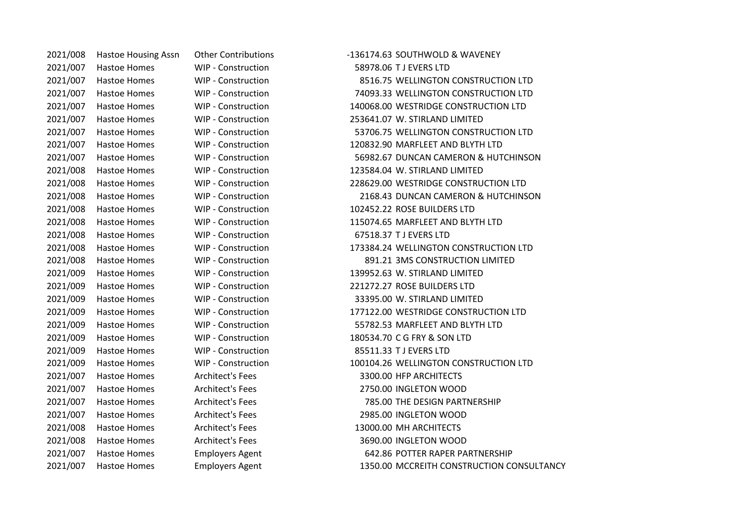| 2021/008 | <b>Hastoe Housing As</b> |
|----------|--------------------------|
| 2021/007 | <b>Hastoe Homes</b>      |
| 2021/007 | Hastoe Homes             |
| 2021/007 | <b>Hastoe Homes</b>      |
| 2021/007 | <b>Hastoe Homes</b>      |
| 2021/007 | <b>Hastoe Homes</b>      |
| 2021/007 | <b>Hastoe Homes</b>      |
| 2021/007 | <b>Hastoe Homes</b>      |
| 2021/007 | <b>Hastoe Homes</b>      |
| 2021/008 | <b>Hastoe Homes</b>      |
| 2021/008 | Hastoe Homes             |
| 2021/008 | <b>Hastoe Homes</b>      |
| 2021/008 | <b>Hastoe Homes</b>      |
| 2021/008 | <b>Hastoe Homes</b>      |
| 2021/008 | <b>Hastoe Homes</b>      |
| 2021/008 | <b>Hastoe Homes</b>      |
| 2021/008 | <b>Hastoe Homes</b>      |
| 2021/009 | <b>Hastoe Homes</b>      |
| 2021/009 | <b>Hastoe Homes</b>      |
| 2021/009 | <b>Hastoe Homes</b>      |
| 2021/009 | <b>Hastoe Homes</b>      |
| 2021/009 | <b>Hastoe Homes</b>      |
| 2021/009 | <b>Hastoe Homes</b>      |
| 2021/009 | <b>Hastoe Homes</b>      |
| 2021/009 | <b>Hastoe Homes</b>      |
| 2021/007 | <b>Hastoe Homes</b>      |
| 2021/007 | <b>Hastoe Homes</b>      |
| 2021/007 | <b>Hastoe Homes</b>      |
| 2021/007 | <b>Hastoe Homes</b>      |
| 2021/008 | <b>Hastoe Homes</b>      |
| 2021/008 | <b>Hastoe Homes</b>      |
| 2021/007 | <b>Hastoe Homes</b>      |
| 2021/007 | <b>Hastoe Homes</b>      |

2021/008 Hastoe Housing Assn Other Contributions -136174.63 SOUTHWOLD & WAVENEY 2021/007 Hastoe Homes WIP - Construction 58978.06 T J EVERS LTD 2021/007 Hastoe Homes WIP - Construction 8516.75 WELLINGTON CONSTRUCTION LTD 2021/007 Hastoe Homes WIP - Construction 74093.33 WELLINGTON CONSTRUCTION LTD 2021/007 Hastoe Homes WIP - Construction 140068.00 WESTRIDGE CONSTRUCTION LTD WIP - Construction 253641.07 W. STIRLAND LIMITED 2021/007 Hastoe Homes WIP - Construction 53706.75 WELLINGTON CONSTRUCTION LTD 2021/007 Hastoe Homes WIP - Construction 120832.90 MARFLEET AND BLYTH LTD 2021/007 Hastoe Homes WIP - Construction 56982.67 DUNCAN CAMERON & HUTCHINSON 2021/008 Hastoe Homes WIP - Construction 123584.04 W. STIRLAND LIMITED 2021/008 Hastoe Homes WIP - Construction 228629.00 WESTRIDGE CONSTRUCTION LTD WIP - Construction 2168.43 DUNCAN CAMERON & HUTCHINSON 2021/008 Hastoe Homes WIP - Construction 102452.22 ROSE BUILDERS LTD 2021/008 Hastoe Homes WIP - Construction 115074.65 MARFLEET AND BLYTH LTD WIP - Construction 67518.37 T J EVERS LTD 2021/008 Hastoe Homes WIP - Construction 173384.24 WELLINGTON CONSTRUCTION LTD 2021/008 Hastoe Homes WIP - Construction 891.21 3MS CONSTRUCTION LIMITED 2021/009 Hastoe Homes WIP - Construction 139952.63 W. STIRLAND LIMITED WIP - Construction 221272.27 ROSE BUILDERS LTD 2021/009 Hastoe Homes WIP - Construction 33395.00 W. STIRLAND LIMITED 2021/009 Hastoe Homes WIP - Construction 177122.00 WESTRIDGE CONSTRUCTION LTD 2021/009 Hastoe Homes WIP - Construction 55782.53 MARFLEET AND BLYTH LTD 2021/009 Hastoe Homes WIP - Construction 180534.70 C G FRY & SON LTD WIP - Construction 85511.33 T J EVERS LTD 2021/009 Hastoe Homes WIP - Construction 100104.26 WELLINGTON CONSTRUCTION LTD Architect's Fees 2300.00 HFP ARCHITECTS Architect's Fees 2750.00 INGLETON WOOD 2021/007 Hastoe Homes Architect's Fees 785.00 THE DESIGN PARTNERSHIP Architect's Fees 2985.00 INGLETON WOOD Architect's Fees 13000.00 MH ARCHITECTS 2021/008 Hastoe Homes Architect's Fees 3690.00 INGLETON WOOD Employers Agent 12021 For the GA2.86 POTTER RAPER PARTNERSHIP Employers Agent 1350.00 MCCREITH CONSTRUCTION CONSULTANCY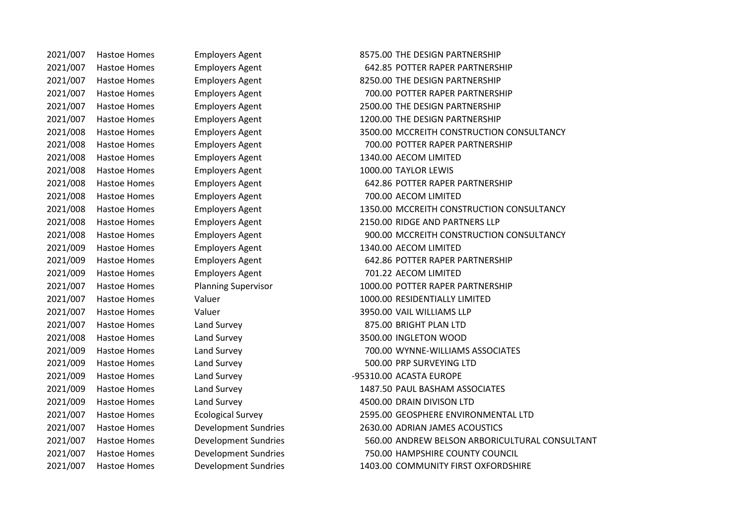2021/008 Hastoe Homes Employers Agent 1000.00 TAYLOR LEWIS

2021/007 Hastoe Homes Employers Agent 8575.00 THE DESIGN PARTNERSHIP 2021/007 Hastoe Homes Employers Agent 642.85 POTTER RAPER PARTNERSHIP 2021/007 Hastoe Homes Employers Agent 8250.00 THE DESIGN PARTNERSHIP 2021/007 Hastoe Homes Employers Agent 700.00 POTTER RAPER PARTNERSHIP 2021/007 Hastoe Homes Employers Agent 2500.00 THE DESIGN PARTNERSHIP 2021/007 Hastoe Homes Employers Agent 1200.00 THE DESIGN PARTNERSHIP 2021/008 Hastoe Homes Employers Agent 3500.00 MCCREITH CONSTRUCTION CONSULTANCY 2021/008 Hastoe Homes Employers Agent 700.00 POTTER RAPER PARTNERSHIP 2021/008 Hastoe Homes Employers Agent 1340.00 AECOM LIMITED 2021/008 Hastoe Homes Employers Agent 642.86 POTTER RAPER PARTNERSHIP 2021/008 Hastoe Homes Employers Agent 700.00 AECOM LIMITED 2021/008 Hastoe Homes Employers Agent 1350.00 MCCREITH CONSTRUCTION CONSULTANCY 2021/008 Hastoe Homes Employers Agent 2150.00 RIDGE AND PARTNERS LLP 2021/008 Hastoe Homes Employers Agent 900.00 MCCREITH CONSTRUCTION CONSULTANCY 2021/009 Hastoe Homes Employers Agent 1340.00 AECOM LIMITED 2021/009 Hastoe Homes Employers Agent 642.86 POTTER RAPER PARTNERSHIP 2021/009 Hastoe Homes Employers Agent 701.22 AECOM LIMITED 2021/007 Hastoe Homes Planning Supervisor 1000.00 POTTER RAPER PARTNERSHIP 2021/007 Hastoe Homes Valuer 1000.00 RESIDENTIALLY LIMITED 2021/007 Hastoe Homes Valuer 3950.00 VAIL WILLIAMS LLP 2021/007 Hastoe Homes Land Survey 875.00 BRIGHT PLAN LTD 2021/008 Hastoe Homes Land Survey 3500.00 INGLETON WOOD 2021/009 Hastoe Homes Land Survey 700.00 WYNNE-WILLIAMS ASSOCIATES 2021/009 Hastoe Homes Land Survey 500.00 PRP SURVEYING LTD 2021/009 Hastoe Homes Land Survey Land Survey -95310.00 ACASTA EUROPE 2021/009 Hastoe Homes Land Survey 1487.50 PAUL BASHAM ASSOCIATES 2021/009 Hastoe Homes Land Survey 4500.00 DRAIN DIVISON LTD 2021/007 Hastoe Homes Ecological Survey 2595.00 GEOSPHERE ENVIRONMENTAL LTD 2021/007 Hastoe Homes Development Sundries 2630.00 ADRIAN JAMES ACOUSTICS 2021/007 Hastoe Homes Development Sundries 560.00 ANDREW BELSON ARBORICULTURAL CONSULTANT 2021/007 Hastoe Homes Development Sundries 750.00 HAMPSHIRE COUNTY COUNCIL 2021/007 Hastoe Homes Development Sundries 1403.00 COMMUNITY FIRST OXFORDSHIRE